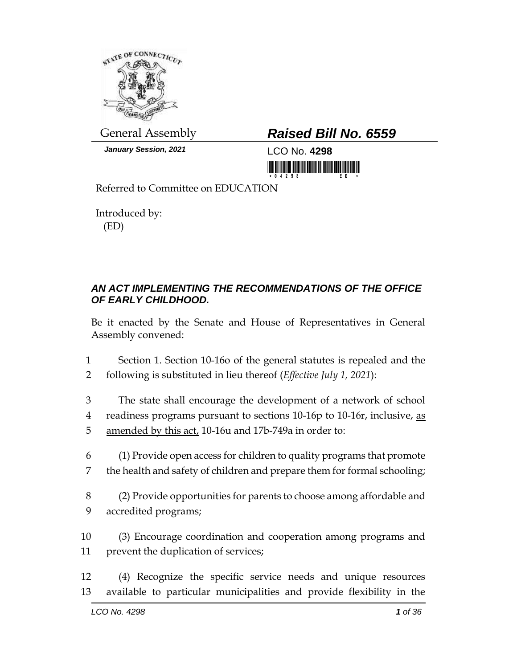

*January Session, 2021* LCO No. **4298**

## General Assembly *Raised Bill No. 6559*

<u> III AN IN NHA IN AN IN NHA IN NHA IN NHA IN NHA IN NHA IN N</u>

Referred to Committee on EDUCATION

Introduced by: (ED)

## *AN ACT IMPLEMENTING THE RECOMMENDATIONS OF THE OFFICE OF EARLY CHILDHOOD.*

Be it enacted by the Senate and House of Representatives in General Assembly convened:

1 Section 1. Section 10-16o of the general statutes is repealed and the 2 following is substituted in lieu thereof (*Effective July 1, 2021*):

- 3 The state shall encourage the development of a network of school 4 readiness programs pursuant to sections 10-16p to 10-16r, inclusive, as 5 amended by this act, 10-16u and 17b-749a in order to:
- 6 (1) Provide open access for children to quality programs that promote 7 the health and safety of children and prepare them for formal schooling;
- 8 (2) Provide opportunities for parents to choose among affordable and 9 accredited programs;
- 10 (3) Encourage coordination and cooperation among programs and 11 prevent the duplication of services;
- 12 (4) Recognize the specific service needs and unique resources 13 available to particular municipalities and provide flexibility in the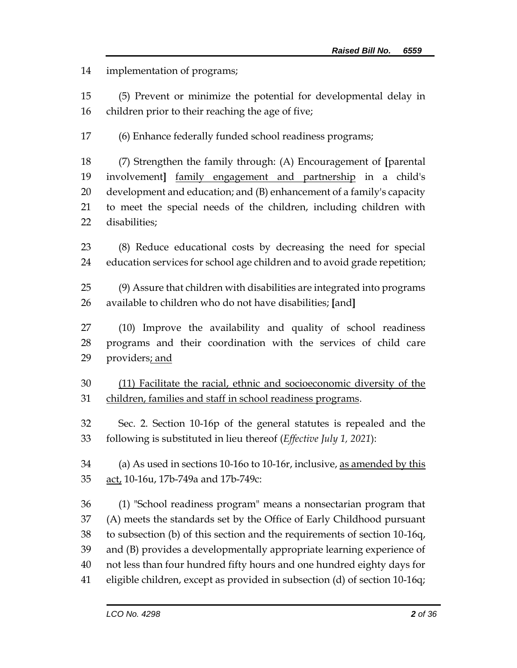implementation of programs;

 (5) Prevent or minimize the potential for developmental delay in children prior to their reaching the age of five;

(6) Enhance federally funded school readiness programs;

 (7) Strengthen the family through: (A) Encouragement of **[**parental involvement**]** family engagement and partnership in a child's development and education; and (B) enhancement of a family's capacity to meet the special needs of the children, including children with disabilities;

 (8) Reduce educational costs by decreasing the need for special education services for school age children and to avoid grade repetition;

 (9) Assure that children with disabilities are integrated into programs available to children who do not have disabilities; **[**and**]**

 (10) Improve the availability and quality of school readiness programs and their coordination with the services of child care 29 providers; and

 (11) Facilitate the racial, ethnic and socioeconomic diversity of the children, families and staff in school readiness programs.

 Sec. 2. Section 10-16p of the general statutes is repealed and the following is substituted in lieu thereof (*Effective July 1, 2021*):

34 (a) As used in sections 10-16o to 10-16r, inclusive, as amended by this 35 act, 10-16u, 17b-749a and 17b-749c:

 (1) "School readiness program" means a nonsectarian program that (A) meets the standards set by the Office of Early Childhood pursuant to subsection (b) of this section and the requirements of section 10-16q, and (B) provides a developmentally appropriate learning experience of not less than four hundred fifty hours and one hundred eighty days for eligible children, except as provided in subsection (d) of section 10-16q;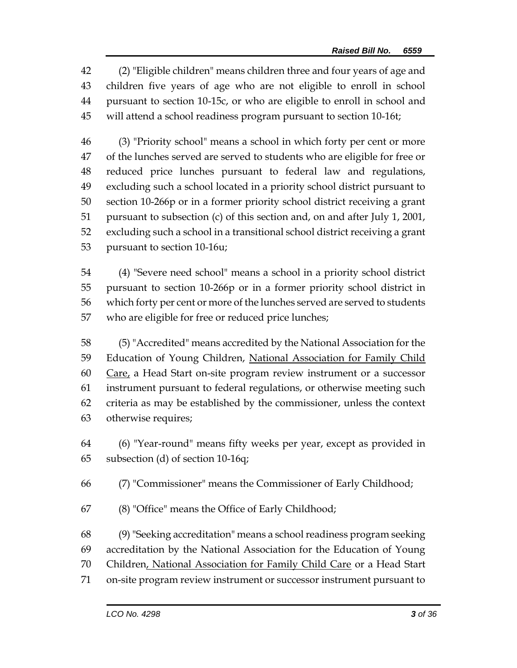(2) "Eligible children" means children three and four years of age and children five years of age who are not eligible to enroll in school pursuant to section 10-15c, or who are eligible to enroll in school and will attend a school readiness program pursuant to section 10-16t;

 (3) "Priority school" means a school in which forty per cent or more of the lunches served are served to students who are eligible for free or reduced price lunches pursuant to federal law and regulations, excluding such a school located in a priority school district pursuant to section 10-266p or in a former priority school district receiving a grant pursuant to subsection (c) of this section and, on and after July 1, 2001, excluding such a school in a transitional school district receiving a grant pursuant to section 10-16u;

 (4) "Severe need school" means a school in a priority school district pursuant to section 10-266p or in a former priority school district in which forty per cent or more of the lunches served are served to students who are eligible for free or reduced price lunches;

 (5) "Accredited" means accredited by the National Association for the 59 Education of Young Children, National Association for Family Child 60 Care, a Head Start on-site program review instrument or a successor instrument pursuant to federal regulations, or otherwise meeting such criteria as may be established by the commissioner, unless the context otherwise requires;

 (6) "Year-round" means fifty weeks per year, except as provided in subsection (d) of section 10-16q;

(7) "Commissioner" means the Commissioner of Early Childhood;

(8) "Office" means the Office of Early Childhood;

 (9) "Seeking accreditation" means a school readiness program seeking accreditation by the National Association for the Education of Young 70 Children, National Association for Family Child Care or a Head Start on-site program review instrument or successor instrument pursuant to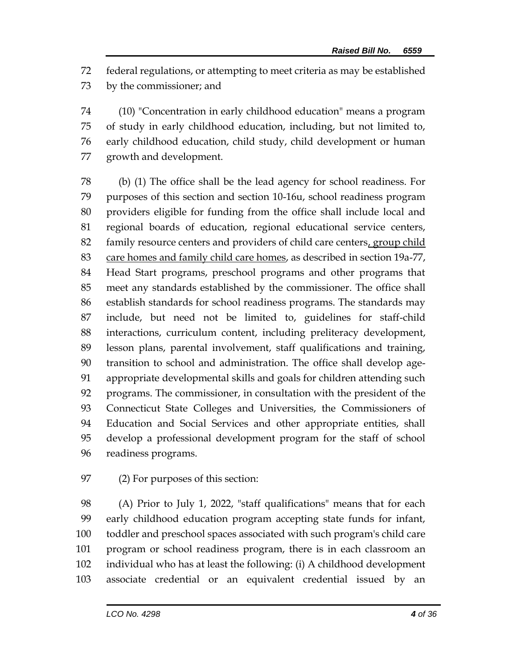federal regulations, or attempting to meet criteria as may be established by the commissioner; and

 (10) "Concentration in early childhood education" means a program of study in early childhood education, including, but not limited to, early childhood education, child study, child development or human growth and development.

 (b) (1) The office shall be the lead agency for school readiness. For purposes of this section and section 10-16u, school readiness program providers eligible for funding from the office shall include local and regional boards of education, regional educational service centers, family resource centers and providers of child care centers, group child 83 care homes and family child care homes, as described in section 19a-77, Head Start programs, preschool programs and other programs that meet any standards established by the commissioner. The office shall establish standards for school readiness programs. The standards may include, but need not be limited to, guidelines for staff-child interactions, curriculum content, including preliteracy development, lesson plans, parental involvement, staff qualifications and training, transition to school and administration. The office shall develop age- appropriate developmental skills and goals for children attending such programs. The commissioner, in consultation with the president of the Connecticut State Colleges and Universities, the Commissioners of Education and Social Services and other appropriate entities, shall develop a professional development program for the staff of school readiness programs.

(2) For purposes of this section:

 (A) Prior to July 1, 2022, "staff qualifications" means that for each early childhood education program accepting state funds for infant, toddler and preschool spaces associated with such program's child care program or school readiness program, there is in each classroom an individual who has at least the following: (i) A childhood development associate credential or an equivalent credential issued by an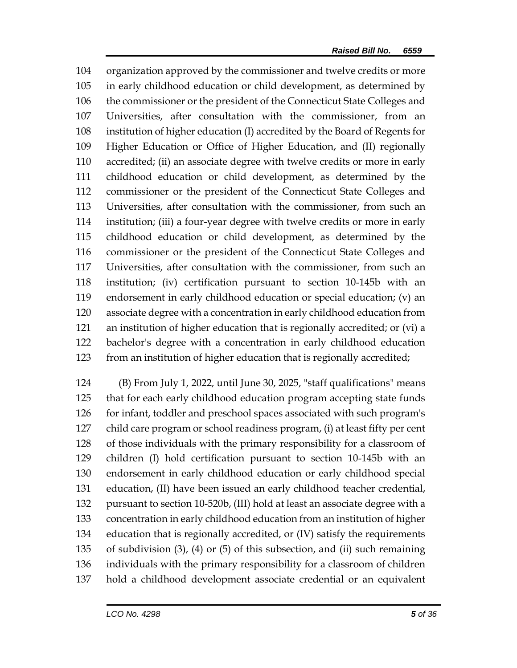organization approved by the commissioner and twelve credits or more in early childhood education or child development, as determined by the commissioner or the president of the Connecticut State Colleges and Universities, after consultation with the commissioner, from an institution of higher education (I) accredited by the Board of Regents for Higher Education or Office of Higher Education, and (II) regionally accredited; (ii) an associate degree with twelve credits or more in early childhood education or child development, as determined by the commissioner or the president of the Connecticut State Colleges and Universities, after consultation with the commissioner, from such an institution; (iii) a four-year degree with twelve credits or more in early childhood education or child development, as determined by the commissioner or the president of the Connecticut State Colleges and Universities, after consultation with the commissioner, from such an institution; (iv) certification pursuant to section 10-145b with an endorsement in early childhood education or special education; (v) an associate degree with a concentration in early childhood education from an institution of higher education that is regionally accredited; or (vi) a bachelor's degree with a concentration in early childhood education from an institution of higher education that is regionally accredited;

 (B) From July 1, 2022, until June 30, 2025, "staff qualifications" means that for each early childhood education program accepting state funds for infant, toddler and preschool spaces associated with such program's child care program or school readiness program, (i) at least fifty per cent of those individuals with the primary responsibility for a classroom of children (I) hold certification pursuant to section 10-145b with an endorsement in early childhood education or early childhood special education, (II) have been issued an early childhood teacher credential, pursuant to section 10-520b, (III) hold at least an associate degree with a concentration in early childhood education from an institution of higher education that is regionally accredited, or (IV) satisfy the requirements of subdivision (3), (4) or (5) of this subsection, and (ii) such remaining individuals with the primary responsibility for a classroom of children hold a childhood development associate credential or an equivalent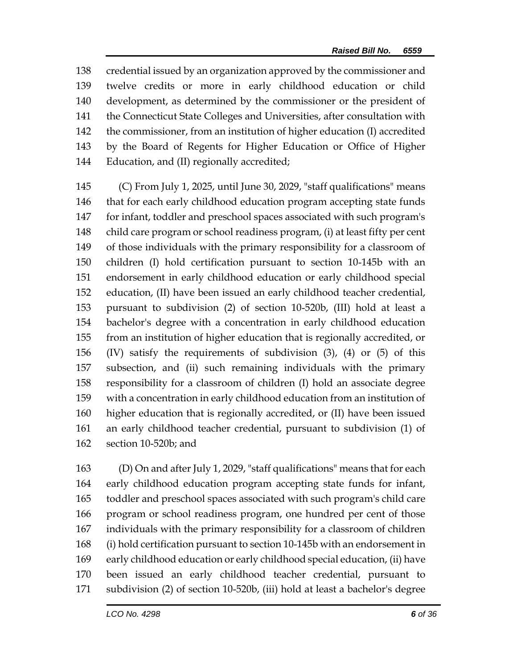credential issued by an organization approved by the commissioner and twelve credits or more in early childhood education or child development, as determined by the commissioner or the president of the Connecticut State Colleges and Universities, after consultation with the commissioner, from an institution of higher education (I) accredited by the Board of Regents for Higher Education or Office of Higher Education, and (II) regionally accredited;

 (C) From July 1, 2025, until June 30, 2029, "staff qualifications" means that for each early childhood education program accepting state funds for infant, toddler and preschool spaces associated with such program's child care program or school readiness program, (i) at least fifty per cent of those individuals with the primary responsibility for a classroom of children (I) hold certification pursuant to section 10-145b with an endorsement in early childhood education or early childhood special education, (II) have been issued an early childhood teacher credential, pursuant to subdivision (2) of section 10-520b, (III) hold at least a bachelor's degree with a concentration in early childhood education from an institution of higher education that is regionally accredited, or (IV) satisfy the requirements of subdivision (3), (4) or (5) of this subsection, and (ii) such remaining individuals with the primary responsibility for a classroom of children (I) hold an associate degree with a concentration in early childhood education from an institution of higher education that is regionally accredited, or (II) have been issued an early childhood teacher credential, pursuant to subdivision (1) of section 10-520b; and

 (D) On and after July 1, 2029, "staff qualifications" means that for each early childhood education program accepting state funds for infant, toddler and preschool spaces associated with such program's child care program or school readiness program, one hundred per cent of those individuals with the primary responsibility for a classroom of children (i) hold certification pursuant to section 10-145b with an endorsement in early childhood education or early childhood special education, (ii) have been issued an early childhood teacher credential, pursuant to subdivision (2) of section 10-520b, (iii) hold at least a bachelor's degree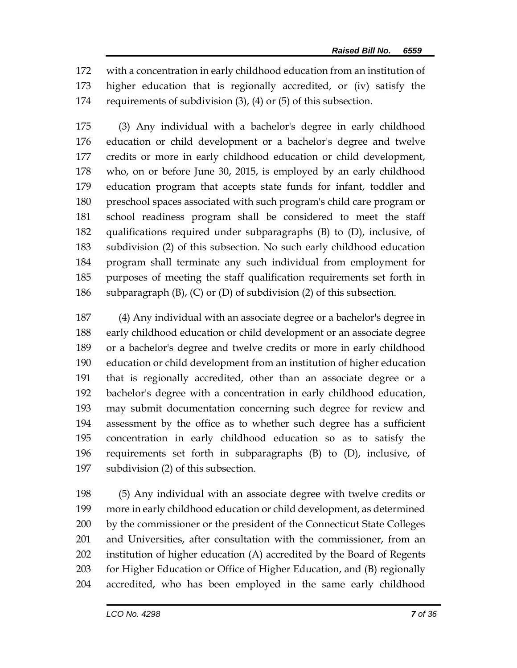with a concentration in early childhood education from an institution of higher education that is regionally accredited, or (iv) satisfy the requirements of subdivision (3), (4) or (5) of this subsection.

 (3) Any individual with a bachelor's degree in early childhood education or child development or a bachelor's degree and twelve credits or more in early childhood education or child development, who, on or before June 30, 2015, is employed by an early childhood education program that accepts state funds for infant, toddler and preschool spaces associated with such program's child care program or school readiness program shall be considered to meet the staff qualifications required under subparagraphs (B) to (D), inclusive, of subdivision (2) of this subsection. No such early childhood education program shall terminate any such individual from employment for purposes of meeting the staff qualification requirements set forth in subparagraph (B), (C) or (D) of subdivision (2) of this subsection.

 (4) Any individual with an associate degree or a bachelor's degree in early childhood education or child development or an associate degree or a bachelor's degree and twelve credits or more in early childhood education or child development from an institution of higher education that is regionally accredited, other than an associate degree or a bachelor's degree with a concentration in early childhood education, may submit documentation concerning such degree for review and assessment by the office as to whether such degree has a sufficient concentration in early childhood education so as to satisfy the requirements set forth in subparagraphs (B) to (D), inclusive, of subdivision (2) of this subsection.

 (5) Any individual with an associate degree with twelve credits or more in early childhood education or child development, as determined 200 by the commissioner or the president of the Connecticut State Colleges and Universities, after consultation with the commissioner, from an institution of higher education (A) accredited by the Board of Regents for Higher Education or Office of Higher Education, and (B) regionally accredited, who has been employed in the same early childhood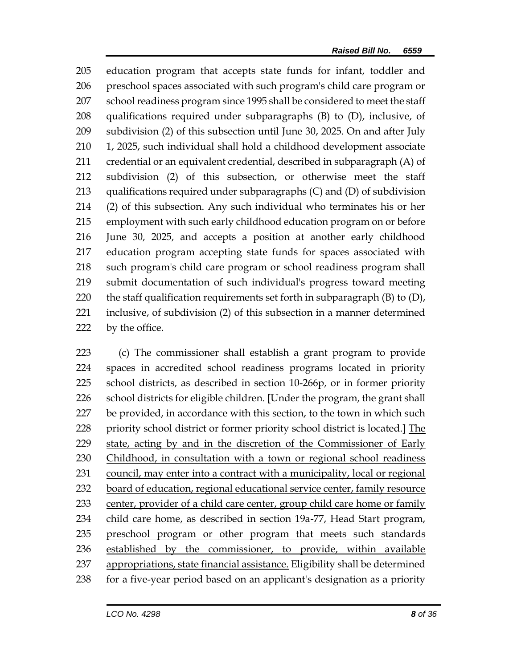education program that accepts state funds for infant, toddler and preschool spaces associated with such program's child care program or school readiness program since 1995 shall be considered to meet the staff qualifications required under subparagraphs (B) to (D), inclusive, of subdivision (2) of this subsection until June 30, 2025. On and after July 1, 2025, such individual shall hold a childhood development associate credential or an equivalent credential, described in subparagraph (A) of subdivision (2) of this subsection, or otherwise meet the staff qualifications required under subparagraphs (C) and (D) of subdivision (2) of this subsection. Any such individual who terminates his or her employment with such early childhood education program on or before June 30, 2025, and accepts a position at another early childhood education program accepting state funds for spaces associated with such program's child care program or school readiness program shall submit documentation of such individual's progress toward meeting 220 the staff qualification requirements set forth in subparagraph  $(B)$  to  $(D)$ , inclusive, of subdivision (2) of this subsection in a manner determined 222 by the office.

 (c) The commissioner shall establish a grant program to provide spaces in accredited school readiness programs located in priority school districts, as described in section 10-266p, or in former priority school districts for eligible children. **[**Under the program, the grant shall be provided, in accordance with this section, to the town in which such priority school district or former priority school district is located.**]** The 229 state, acting by and in the discretion of the Commissioner of Early 230 Childhood, in consultation with a town or regional school readiness council, may enter into a contract with a municipality, local or regional board of education, regional educational service center, family resource 233 center, provider of a child care center, group child care home or family 234 child care home, as described in section 19a-77, Head Start program, preschool program or other program that meets such standards established by the commissioner, to provide, within available appropriations, state financial assistance. Eligibility shall be determined for a five-year period based on an applicant's designation as a priority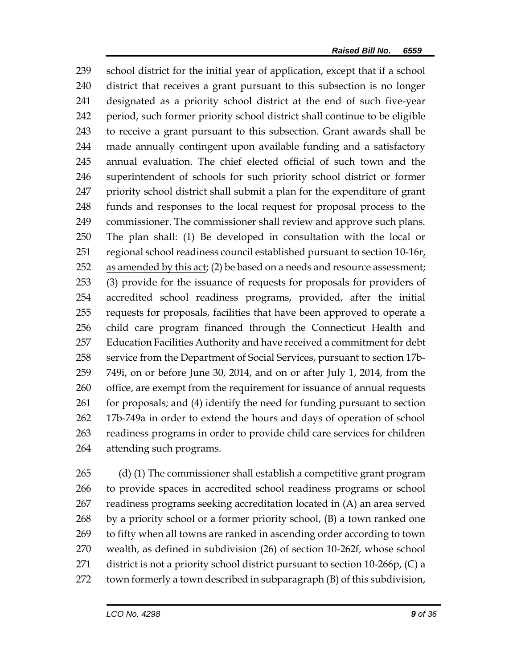school district for the initial year of application, except that if a school district that receives a grant pursuant to this subsection is no longer designated as a priority school district at the end of such five-year period, such former priority school district shall continue to be eligible to receive a grant pursuant to this subsection. Grant awards shall be made annually contingent upon available funding and a satisfactory annual evaluation. The chief elected official of such town and the superintendent of schools for such priority school district or former priority school district shall submit a plan for the expenditure of grant funds and responses to the local request for proposal process to the commissioner. The commissioner shall review and approve such plans. The plan shall: (1) Be developed in consultation with the local or regional school readiness council established pursuant to section 10-16r, as amended by this act; (2) be based on a needs and resource assessment; (3) provide for the issuance of requests for proposals for providers of accredited school readiness programs, provided, after the initial requests for proposals, facilities that have been approved to operate a child care program financed through the Connecticut Health and Education Facilities Authority and have received a commitment for debt service from the Department of Social Services, pursuant to section 17b- 749i, on or before June 30, 2014, and on or after July 1, 2014, from the office, are exempt from the requirement for issuance of annual requests 261 for proposals; and (4) identify the need for funding pursuant to section 17b-749a in order to extend the hours and days of operation of school readiness programs in order to provide child care services for children attending such programs.

 (d) (1) The commissioner shall establish a competitive grant program to provide spaces in accredited school readiness programs or school readiness programs seeking accreditation located in (A) an area served by a priority school or a former priority school, (B) a town ranked one to fifty when all towns are ranked in ascending order according to town wealth, as defined in subdivision (26) of section 10-262f, whose school district is not a priority school district pursuant to section 10-266p, (C) a town formerly a town described in subparagraph (B) of this subdivision,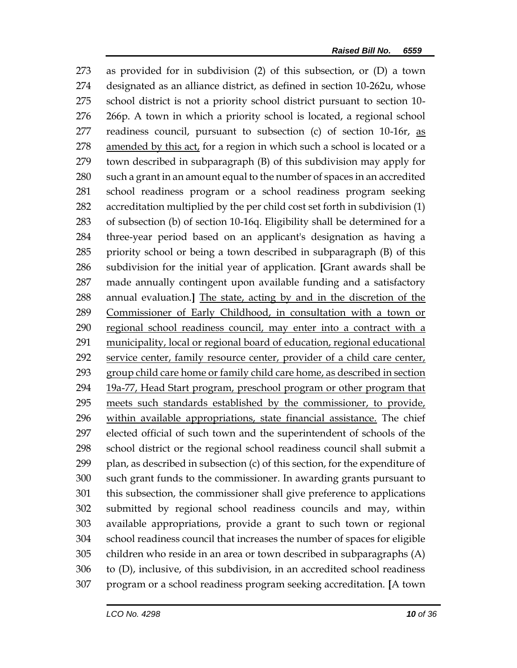as provided for in subdivision (2) of this subsection, or (D) a town designated as an alliance district, as defined in section 10-262u, whose school district is not a priority school district pursuant to section 10- 266p. A town in which a priority school is located, a regional school readiness council, pursuant to subsection (c) of section 10-16r, as amended by this act, for a region in which such a school is located or a town described in subparagraph (B) of this subdivision may apply for such a grant in an amount equal to the number of spaces in an accredited school readiness program or a school readiness program seeking accreditation multiplied by the per child cost set forth in subdivision (1) of subsection (b) of section 10-16q. Eligibility shall be determined for a three-year period based on an applicant's designation as having a priority school or being a town described in subparagraph (B) of this subdivision for the initial year of application. **[**Grant awards shall be made annually contingent upon available funding and a satisfactory annual evaluation.**]** The state, acting by and in the discretion of the Commissioner of Early Childhood, in consultation with a town or regional school readiness council, may enter into a contract with a municipality, local or regional board of education, regional educational service center, family resource center, provider of a child care center, 293 group child care home or family child care home, as described in section 294 19a-77, Head Start program, preschool program or other program that 295 meets such standards established by the commissioner, to provide, within available appropriations, state financial assistance. The chief elected official of such town and the superintendent of schools of the school district or the regional school readiness council shall submit a 299 plan, as described in subsection  $(c)$  of this section, for the expenditure of such grant funds to the commissioner. In awarding grants pursuant to this subsection, the commissioner shall give preference to applications submitted by regional school readiness councils and may, within available appropriations, provide a grant to such town or regional school readiness council that increases the number of spaces for eligible children who reside in an area or town described in subparagraphs (A) to (D), inclusive, of this subdivision, in an accredited school readiness program or a school readiness program seeking accreditation. **[**A town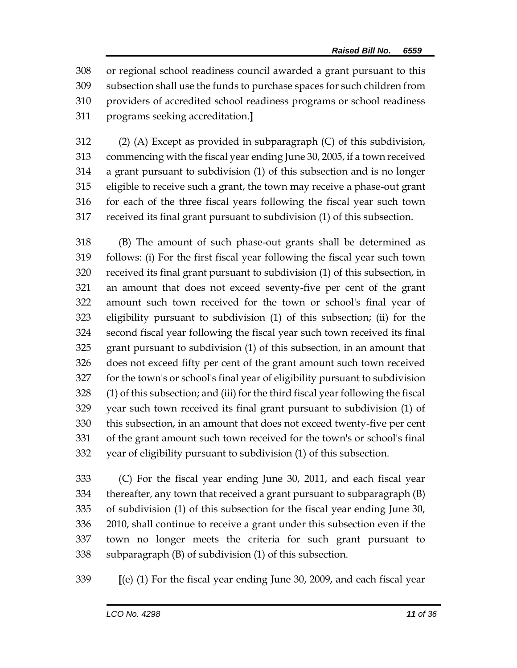or regional school readiness council awarded a grant pursuant to this subsection shall use the funds to purchase spaces for such children from providers of accredited school readiness programs or school readiness programs seeking accreditation.**]**

 (2) (A) Except as provided in subparagraph (C) of this subdivision, commencing with the fiscal year ending June 30, 2005, if a town received a grant pursuant to subdivision (1) of this subsection and is no longer eligible to receive such a grant, the town may receive a phase-out grant for each of the three fiscal years following the fiscal year such town received its final grant pursuant to subdivision (1) of this subsection.

 (B) The amount of such phase-out grants shall be determined as follows: (i) For the first fiscal year following the fiscal year such town received its final grant pursuant to subdivision (1) of this subsection, in an amount that does not exceed seventy-five per cent of the grant amount such town received for the town or school's final year of eligibility pursuant to subdivision (1) of this subsection; (ii) for the second fiscal year following the fiscal year such town received its final grant pursuant to subdivision (1) of this subsection, in an amount that does not exceed fifty per cent of the grant amount such town received for the town's or school's final year of eligibility pursuant to subdivision (1) of this subsection; and (iii) for the third fiscal year following the fiscal year such town received its final grant pursuant to subdivision (1) of this subsection, in an amount that does not exceed twenty-five per cent of the grant amount such town received for the town's or school's final year of eligibility pursuant to subdivision (1) of this subsection.

 (C) For the fiscal year ending June 30, 2011, and each fiscal year thereafter, any town that received a grant pursuant to subparagraph (B) of subdivision (1) of this subsection for the fiscal year ending June 30, 2010, shall continue to receive a grant under this subsection even if the town no longer meets the criteria for such grant pursuant to subparagraph (B) of subdivision (1) of this subsection.

**[**(e) (1) For the fiscal year ending June 30, 2009, and each fiscal year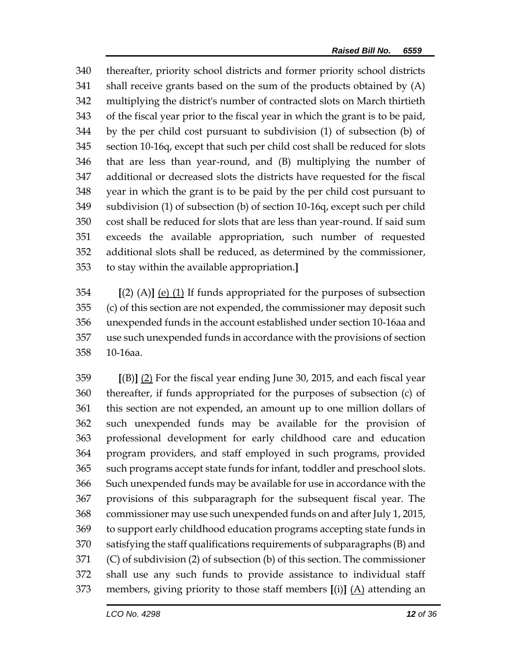thereafter, priority school districts and former priority school districts shall receive grants based on the sum of the products obtained by (A) multiplying the district's number of contracted slots on March thirtieth of the fiscal year prior to the fiscal year in which the grant is to be paid, by the per child cost pursuant to subdivision (1) of subsection (b) of section 10-16q, except that such per child cost shall be reduced for slots that are less than year-round, and (B) multiplying the number of additional or decreased slots the districts have requested for the fiscal year in which the grant is to be paid by the per child cost pursuant to subdivision (1) of subsection (b) of section 10-16q, except such per child cost shall be reduced for slots that are less than year-round. If said sum exceeds the available appropriation, such number of requested additional slots shall be reduced, as determined by the commissioner, to stay within the available appropriation.**]**

 **[**(2) (A)**]** (e) (1) If funds appropriated for the purposes of subsection (c) of this section are not expended, the commissioner may deposit such unexpended funds in the account established under section 10-16aa and use such unexpended funds in accordance with the provisions of section 10-16aa.

 **[**(B)**]** (2) For the fiscal year ending June 30, 2015, and each fiscal year thereafter, if funds appropriated for the purposes of subsection (c) of this section are not expended, an amount up to one million dollars of such unexpended funds may be available for the provision of professional development for early childhood care and education program providers, and staff employed in such programs, provided such programs accept state funds for infant, toddler and preschool slots. Such unexpended funds may be available for use in accordance with the provisions of this subparagraph for the subsequent fiscal year. The commissioner may use such unexpended funds on and after July 1, 2015, to support early childhood education programs accepting state funds in satisfying the staff qualifications requirements of subparagraphs (B) and (C) of subdivision (2) of subsection (b) of this section. The commissioner shall use any such funds to provide assistance to individual staff members, giving priority to those staff members **[**(i)**]** (A) attending an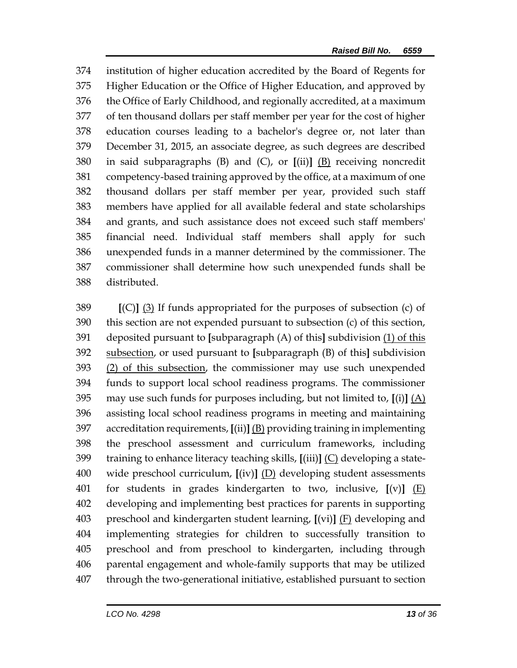institution of higher education accredited by the Board of Regents for Higher Education or the Office of Higher Education, and approved by the Office of Early Childhood, and regionally accredited, at a maximum of ten thousand dollars per staff member per year for the cost of higher education courses leading to a bachelor's degree or, not later than December 31, 2015, an associate degree, as such degrees are described in said subparagraphs (B) and (C), or **[**(ii)**]** (B) receiving noncredit competency-based training approved by the office, at a maximum of one thousand dollars per staff member per year, provided such staff members have applied for all available federal and state scholarships and grants, and such assistance does not exceed such staff members' financial need. Individual staff members shall apply for such unexpended funds in a manner determined by the commissioner. The commissioner shall determine how such unexpended funds shall be distributed.

 **[**(C)**]** (3) If funds appropriated for the purposes of subsection (c) of this section are not expended pursuant to subsection (c) of this section, deposited pursuant to **[**subparagraph (A) of this**]** subdivision (1) of this subsection, or used pursuant to **[**subparagraph (B) of this**]** subdivision (2) of this subsection, the commissioner may use such unexpended funds to support local school readiness programs. The commissioner may use such funds for purposes including, but not limited to, **[**(i)**]** (A) assisting local school readiness programs in meeting and maintaining accreditation requirements, **[**(ii)**]** (B) providing training in implementing the preschool assessment and curriculum frameworks, including training to enhance literacy teaching skills, **[**(iii)**]** (C) developing a state- wide preschool curriculum, **[**(iv)**]** (D) developing student assessments for students in grades kindergarten to two, inclusive, **[**(v)**]** (E) developing and implementing best practices for parents in supporting preschool and kindergarten student learning, **[**(vi)**]** (F) developing and implementing strategies for children to successfully transition to preschool and from preschool to kindergarten, including through parental engagement and whole-family supports that may be utilized through the two-generational initiative, established pursuant to section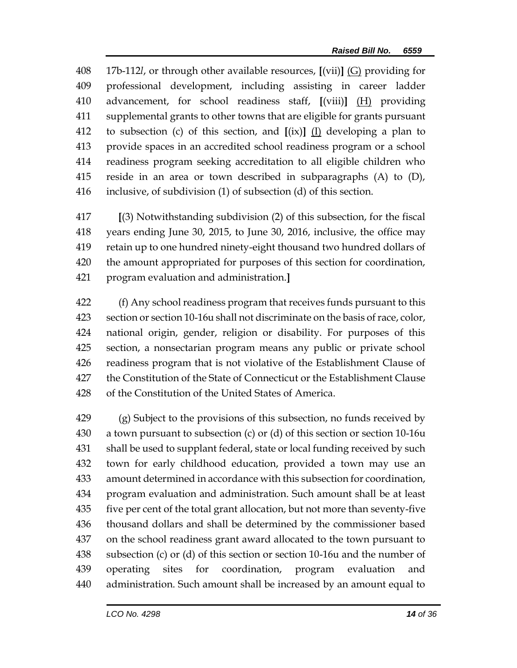17b-112*l*, or through other available resources, **[**(vii)**]** (G) providing for professional development, including assisting in career ladder advancement, for school readiness staff, **[**(viii)**]** (H) providing supplemental grants to other towns that are eligible for grants pursuant to subsection (c) of this section, and **[**(ix)**]** (I) developing a plan to provide spaces in an accredited school readiness program or a school readiness program seeking accreditation to all eligible children who reside in an area or town described in subparagraphs (A) to (D), inclusive, of subdivision (1) of subsection (d) of this section.

 **[**(3) Notwithstanding subdivision (2) of this subsection, for the fiscal years ending June 30, 2015, to June 30, 2016, inclusive, the office may retain up to one hundred ninety-eight thousand two hundred dollars of the amount appropriated for purposes of this section for coordination, program evaluation and administration.**]**

 (f) Any school readiness program that receives funds pursuant to this section or section 10-16u shall not discriminate on the basis of race, color, national origin, gender, religion or disability. For purposes of this section, a nonsectarian program means any public or private school readiness program that is not violative of the Establishment Clause of the Constitution of the State of Connecticut or the Establishment Clause of the Constitution of the United States of America.

429 (g) Subject to the provisions of this subsection, no funds received by a town pursuant to subsection (c) or (d) of this section or section 10-16u shall be used to supplant federal, state or local funding received by such town for early childhood education, provided a town may use an amount determined in accordance with this subsection for coordination, program evaluation and administration. Such amount shall be at least five per cent of the total grant allocation, but not more than seventy-five thousand dollars and shall be determined by the commissioner based on the school readiness grant award allocated to the town pursuant to subsection (c) or (d) of this section or section 10-16u and the number of operating sites for coordination, program evaluation and administration. Such amount shall be increased by an amount equal to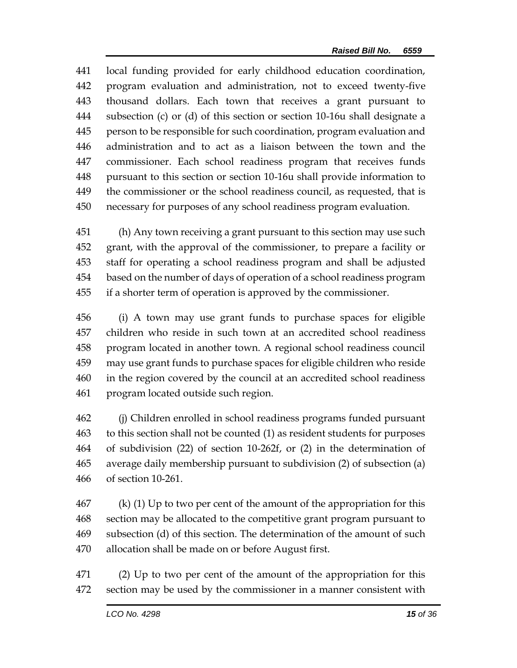local funding provided for early childhood education coordination, program evaluation and administration, not to exceed twenty-five thousand dollars. Each town that receives a grant pursuant to subsection (c) or (d) of this section or section 10-16u shall designate a person to be responsible for such coordination, program evaluation and administration and to act as a liaison between the town and the commissioner. Each school readiness program that receives funds pursuant to this section or section 10-16u shall provide information to the commissioner or the school readiness council, as requested, that is necessary for purposes of any school readiness program evaluation.

 (h) Any town receiving a grant pursuant to this section may use such grant, with the approval of the commissioner, to prepare a facility or staff for operating a school readiness program and shall be adjusted based on the number of days of operation of a school readiness program if a shorter term of operation is approved by the commissioner.

 (i) A town may use grant funds to purchase spaces for eligible children who reside in such town at an accredited school readiness program located in another town. A regional school readiness council may use grant funds to purchase spaces for eligible children who reside in the region covered by the council at an accredited school readiness program located outside such region.

 (j) Children enrolled in school readiness programs funded pursuant to this section shall not be counted (1) as resident students for purposes of subdivision (22) of section 10-262f, or (2) in the determination of average daily membership pursuant to subdivision (2) of subsection (a) of section 10-261.

 (k) (1) Up to two per cent of the amount of the appropriation for this section may be allocated to the competitive grant program pursuant to subsection (d) of this section. The determination of the amount of such allocation shall be made on or before August first.

 (2) Up to two per cent of the amount of the appropriation for this section may be used by the commissioner in a manner consistent with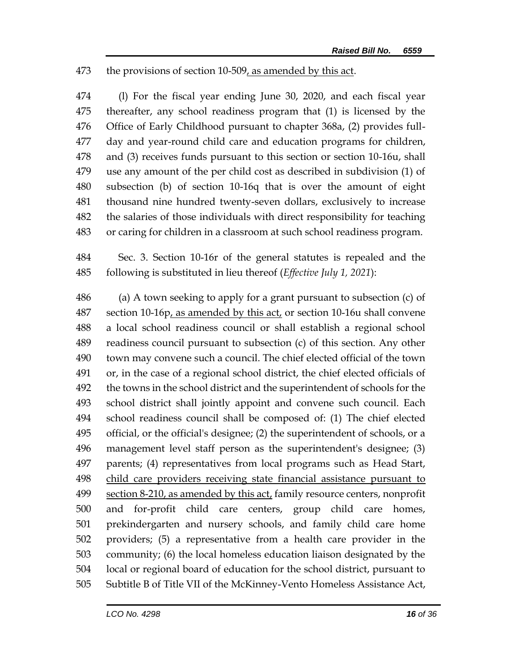## the provisions of section 10-509, as amended by this act.

 (l) For the fiscal year ending June 30, 2020, and each fiscal year thereafter, any school readiness program that (1) is licensed by the Office of Early Childhood pursuant to chapter 368a, (2) provides full- day and year-round child care and education programs for children, and (3) receives funds pursuant to this section or section 10-16u, shall use any amount of the per child cost as described in subdivision (1) of subsection (b) of section 10-16q that is over the amount of eight thousand nine hundred twenty-seven dollars, exclusively to increase the salaries of those individuals with direct responsibility for teaching or caring for children in a classroom at such school readiness program.

 Sec. 3. Section 10-16r of the general statutes is repealed and the following is substituted in lieu thereof (*Effective July 1, 2021*):

 (a) A town seeking to apply for a grant pursuant to subsection (c) of 487 section 10-16p, as amended by this act, or section 10-16u shall convene a local school readiness council or shall establish a regional school readiness council pursuant to subsection (c) of this section. Any other town may convene such a council. The chief elected official of the town or, in the case of a regional school district, the chief elected officials of the towns in the school district and the superintendent of schools for the school district shall jointly appoint and convene such council. Each school readiness council shall be composed of: (1) The chief elected official, or the official's designee; (2) the superintendent of schools, or a management level staff person as the superintendent's designee; (3) parents; (4) representatives from local programs such as Head Start, child care providers receiving state financial assistance pursuant to 499 section 8-210, as amended by this act, family resource centers, nonprofit and for-profit child care centers, group child care homes, prekindergarten and nursery schools, and family child care home providers; (5) a representative from a health care provider in the community; (6) the local homeless education liaison designated by the local or regional board of education for the school district, pursuant to Subtitle B of Title VII of the McKinney-Vento Homeless Assistance Act,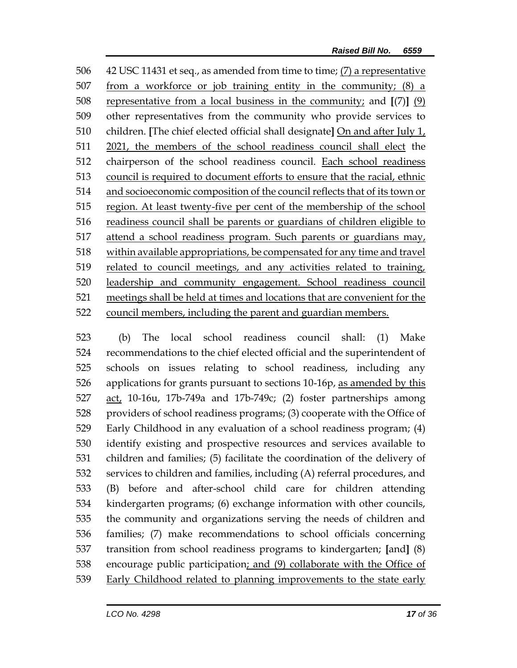42 USC 11431 et seq., as amended from time to time; (7) a representative from a workforce or job training entity in the community; (8) a representative from a local business in the community; and **[**(7)**]** (9) other representatives from the community who provide services to children. **[**The chief elected official shall designate**]** On and after July 1, 2021, the members of the school readiness council shall elect the chairperson of the school readiness council. Each school readiness council is required to document efforts to ensure that the racial, ethnic and socioeconomic composition of the council reflects that of its town or region. At least twenty-five per cent of the membership of the school readiness council shall be parents or guardians of children eligible to attend a school readiness program. Such parents or guardians may, within available appropriations, be compensated for any time and travel related to council meetings, and any activities related to training, leadership and community engagement. School readiness council meetings shall be held at times and locations that are convenient for the council members, including the parent and guardian members.

 (b) The local school readiness council shall: (1) Make recommendations to the chief elected official and the superintendent of schools on issues relating to school readiness, including any 526 applications for grants pursuant to sections 10-16p, as amended by this act, 10-16u, 17b-749a and 17b-749c; (2) foster partnerships among providers of school readiness programs; (3) cooperate with the Office of Early Childhood in any evaluation of a school readiness program; (4) identify existing and prospective resources and services available to children and families; (5) facilitate the coordination of the delivery of services to children and families, including (A) referral procedures, and (B) before and after-school child care for children attending kindergarten programs; (6) exchange information with other councils, the community and organizations serving the needs of children and families; (7) make recommendations to school officials concerning transition from school readiness programs to kindergarten; **[**and**]** (8) encourage public participation; and (9) collaborate with the Office of 539 Early Childhood related to planning improvements to the state early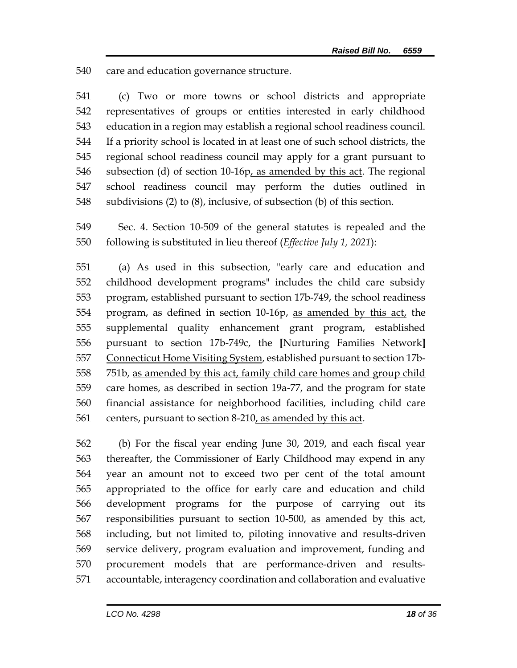care and education governance structure.

 (c) Two or more towns or school districts and appropriate representatives of groups or entities interested in early childhood education in a region may establish a regional school readiness council. If a priority school is located in at least one of such school districts, the regional school readiness council may apply for a grant pursuant to 546 subsection (d) of section 10-16 $p_t$  as amended by this act. The regional school readiness council may perform the duties outlined in subdivisions (2) to (8), inclusive, of subsection (b) of this section.

 Sec. 4. Section 10-509 of the general statutes is repealed and the following is substituted in lieu thereof (*Effective July 1, 2021*):

 (a) As used in this subsection, "early care and education and childhood development programs" includes the child care subsidy program, established pursuant to section 17b-749, the school readiness program, as defined in section 10-16p, as amended by this act, the supplemental quality enhancement grant program, established pursuant to section 17b-749c, the **[**Nurturing Families Network**]** Connecticut Home Visiting System, established pursuant to section 17b-558 751b, as amended by this act, family child care homes and group child care homes, as described in section 19a-77, and the program for state financial assistance for neighborhood facilities, including child care 561 centers, pursuant to section 8-210, as amended by this act.

 (b) For the fiscal year ending June 30, 2019, and each fiscal year thereafter, the Commissioner of Early Childhood may expend in any year an amount not to exceed two per cent of the total amount appropriated to the office for early care and education and child development programs for the purpose of carrying out its responsibilities pursuant to section 10-500, as amended by this act, including, but not limited to, piloting innovative and results-driven service delivery, program evaluation and improvement, funding and procurement models that are performance-driven and results-accountable, interagency coordination and collaboration and evaluative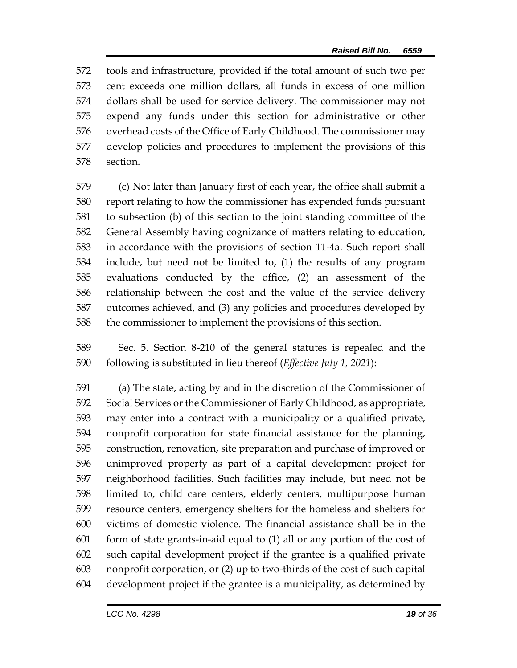tools and infrastructure, provided if the total amount of such two per cent exceeds one million dollars, all funds in excess of one million dollars shall be used for service delivery. The commissioner may not expend any funds under this section for administrative or other overhead costs of the Office of Early Childhood. The commissioner may develop policies and procedures to implement the provisions of this section.

 (c) Not later than January first of each year, the office shall submit a report relating to how the commissioner has expended funds pursuant to subsection (b) of this section to the joint standing committee of the General Assembly having cognizance of matters relating to education, in accordance with the provisions of section 11-4a. Such report shall include, but need not be limited to, (1) the results of any program evaluations conducted by the office, (2) an assessment of the relationship between the cost and the value of the service delivery outcomes achieved, and (3) any policies and procedures developed by the commissioner to implement the provisions of this section.

 Sec. 5. Section 8-210 of the general statutes is repealed and the following is substituted in lieu thereof (*Effective July 1, 2021*):

 (a) The state, acting by and in the discretion of the Commissioner of Social Services or the Commissioner of Early Childhood, as appropriate, may enter into a contract with a municipality or a qualified private, nonprofit corporation for state financial assistance for the planning, construction, renovation, site preparation and purchase of improved or unimproved property as part of a capital development project for neighborhood facilities. Such facilities may include, but need not be limited to, child care centers, elderly centers, multipurpose human resource centers, emergency shelters for the homeless and shelters for victims of domestic violence. The financial assistance shall be in the form of state grants-in-aid equal to (1) all or any portion of the cost of such capital development project if the grantee is a qualified private nonprofit corporation, or (2) up to two-thirds of the cost of such capital development project if the grantee is a municipality, as determined by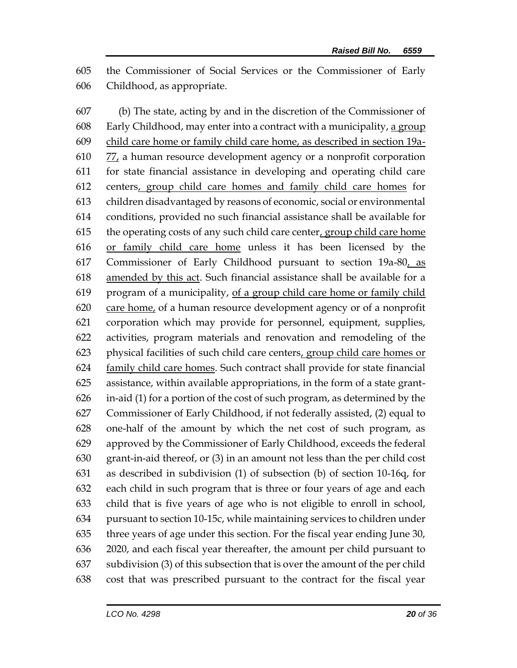the Commissioner of Social Services or the Commissioner of Early Childhood, as appropriate.

 (b) The state, acting by and in the discretion of the Commissioner of Early Childhood, may enter into a contract with a municipality, a group child care home or family child care home, as described in section 19a- 77, a human resource development agency or a nonprofit corporation for state financial assistance in developing and operating child care centers, group child care homes and family child care homes for children disadvantaged by reasons of economic, social or environmental conditions, provided no such financial assistance shall be available for the operating costs of any such child care center, group child care home or family child care home unless it has been licensed by the Commissioner of Early Childhood pursuant to section 19a-80, as amended by this act. Such financial assistance shall be available for a program of a municipality, of a group child care home or family child care home, of a human resource development agency or of a nonprofit corporation which may provide for personnel, equipment, supplies, activities, program materials and renovation and remodeling of the physical facilities of such child care centers, group child care homes or family child care homes. Such contract shall provide for state financial assistance, within available appropriations, in the form of a state grant- in-aid (1) for a portion of the cost of such program, as determined by the Commissioner of Early Childhood, if not federally assisted, (2) equal to one-half of the amount by which the net cost of such program, as approved by the Commissioner of Early Childhood, exceeds the federal grant-in-aid thereof, or (3) in an amount not less than the per child cost as described in subdivision (1) of subsection (b) of section 10-16q, for each child in such program that is three or four years of age and each child that is five years of age who is not eligible to enroll in school, pursuant to section 10-15c, while maintaining services to children under three years of age under this section. For the fiscal year ending June 30, 2020, and each fiscal year thereafter, the amount per child pursuant to subdivision (3) of this subsection that is over the amount of the per child cost that was prescribed pursuant to the contract for the fiscal year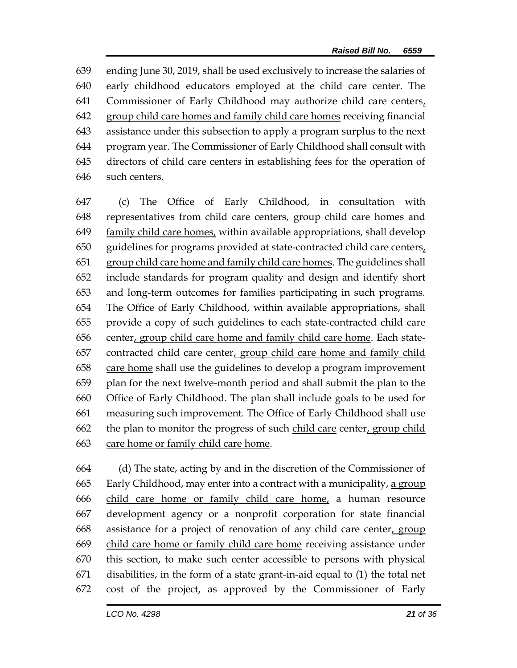ending June 30, 2019, shall be used exclusively to increase the salaries of early childhood educators employed at the child care center. The Commissioner of Early Childhood may authorize child care centers, group child care homes and family child care homes receiving financial assistance under this subsection to apply a program surplus to the next program year. The Commissioner of Early Childhood shall consult with directors of child care centers in establishing fees for the operation of such centers.

 (c) The Office of Early Childhood, in consultation with representatives from child care centers, group child care homes and family child care homes, within available appropriations, shall develop guidelines for programs provided at state-contracted child care centers, group child care home and family child care homes. The guidelines shall include standards for program quality and design and identify short and long-term outcomes for families participating in such programs. The Office of Early Childhood, within available appropriations, shall provide a copy of such guidelines to each state-contracted child care 656 center, group child care home and family child care home. Each state- contracted child care center, group child care home and family child care home shall use the guidelines to develop a program improvement plan for the next twelve-month period and shall submit the plan to the Office of Early Childhood. The plan shall include goals to be used for measuring such improvement. The Office of Early Childhood shall use 662 the plan to monitor the progress of such child care center, group child care home or family child care home.

 (d) The state, acting by and in the discretion of the Commissioner of Early Childhood, may enter into a contract with a municipality, a group child care home or family child care home, a human resource development agency or a nonprofit corporation for state financial assistance for a project of renovation of any child care center, group child care home or family child care home receiving assistance under this section, to make such center accessible to persons with physical disabilities, in the form of a state grant-in-aid equal to (1) the total net cost of the project, as approved by the Commissioner of Early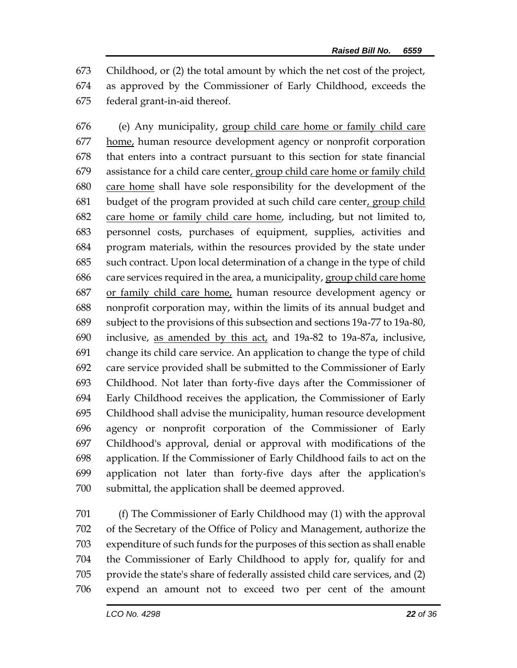Childhood, or (2) the total amount by which the net cost of the project, as approved by the Commissioner of Early Childhood, exceeds the federal grant-in-aid thereof.

 (e) Any municipality, group child care home or family child care home, human resource development agency or nonprofit corporation that enters into a contract pursuant to this section for state financial assistance for a child care center, group child care home or family child care home shall have sole responsibility for the development of the budget of the program provided at such child care center, group child care home or family child care home, including, but not limited to, personnel costs, purchases of equipment, supplies, activities and program materials, within the resources provided by the state under such contract. Upon local determination of a change in the type of child care services required in the area, a municipality, group child care home or family child care home, human resource development agency or nonprofit corporation may, within the limits of its annual budget and subject to the provisions of this subsection and sections 19a-77 to 19a-80, inclusive, as amended by this act, and 19a-82 to 19a-87a, inclusive, change its child care service. An application to change the type of child care service provided shall be submitted to the Commissioner of Early Childhood. Not later than forty-five days after the Commissioner of Early Childhood receives the application, the Commissioner of Early Childhood shall advise the municipality, human resource development agency or nonprofit corporation of the Commissioner of Early Childhood's approval, denial or approval with modifications of the application. If the Commissioner of Early Childhood fails to act on the application not later than forty-five days after the application's submittal, the application shall be deemed approved.

 (f) The Commissioner of Early Childhood may (1) with the approval of the Secretary of the Office of Policy and Management, authorize the expenditure of such funds for the purposes of this section as shall enable the Commissioner of Early Childhood to apply for, qualify for and provide the state's share of federally assisted child care services, and (2) expend an amount not to exceed two per cent of the amount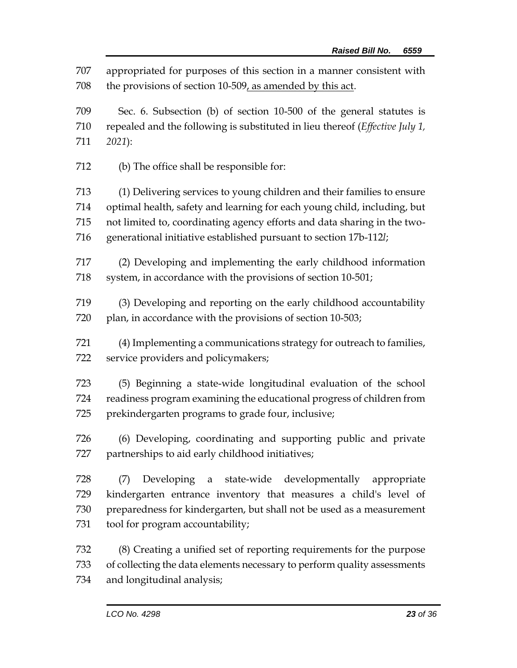appropriated for purposes of this section in a manner consistent with the provisions of section 10-509, as amended by this act.

 Sec. 6. Subsection (b) of section 10-500 of the general statutes is repealed and the following is substituted in lieu thereof (*Effective July 1, 2021*):

(b) The office shall be responsible for:

 (1) Delivering services to young children and their families to ensure optimal health, safety and learning for each young child, including, but not limited to, coordinating agency efforts and data sharing in the two-generational initiative established pursuant to section 17b-112*l*;

 (2) Developing and implementing the early childhood information 718 system, in accordance with the provisions of section 10-501;

 (3) Developing and reporting on the early childhood accountability 720 plan, in accordance with the provisions of section 10-503;

 (4) Implementing a communications strategy for outreach to families, service providers and policymakers;

 (5) Beginning a state-wide longitudinal evaluation of the school readiness program examining the educational progress of children from prekindergarten programs to grade four, inclusive;

 (6) Developing, coordinating and supporting public and private partnerships to aid early childhood initiatives;

 (7) Developing a state-wide developmentally appropriate kindergarten entrance inventory that measures a child's level of preparedness for kindergarten, but shall not be used as a measurement tool for program accountability;

 (8) Creating a unified set of reporting requirements for the purpose of collecting the data elements necessary to perform quality assessments and longitudinal analysis;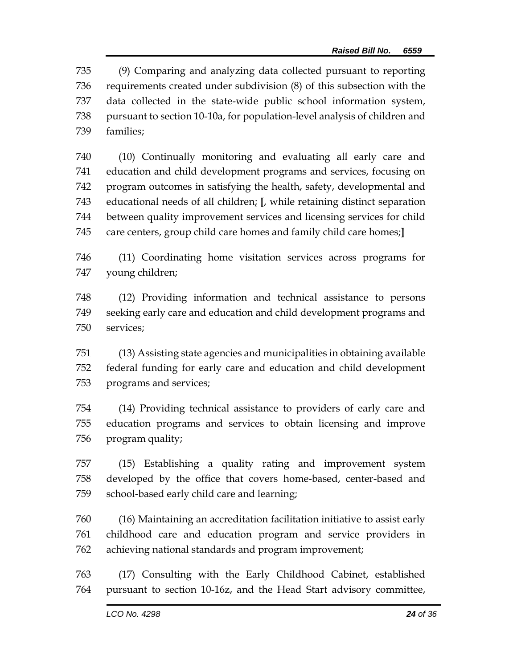(9) Comparing and analyzing data collected pursuant to reporting requirements created under subdivision (8) of this subsection with the data collected in the state-wide public school information system, pursuant to section 10-10a, for population-level analysis of children and families;

 (10) Continually monitoring and evaluating all early care and education and child development programs and services, focusing on program outcomes in satisfying the health, safety, developmental and educational needs of all children; **[**, while retaining distinct separation between quality improvement services and licensing services for child care centers, group child care homes and family child care homes;**]**

 (11) Coordinating home visitation services across programs for young children;

 (12) Providing information and technical assistance to persons seeking early care and education and child development programs and services;

 (13) Assisting state agencies and municipalities in obtaining available federal funding for early care and education and child development programs and services;

 (14) Providing technical assistance to providers of early care and education programs and services to obtain licensing and improve program quality;

 (15) Establishing a quality rating and improvement system developed by the office that covers home-based, center-based and school-based early child care and learning;

 (16) Maintaining an accreditation facilitation initiative to assist early childhood care and education program and service providers in achieving national standards and program improvement;

 (17) Consulting with the Early Childhood Cabinet, established pursuant to section 10-16z, and the Head Start advisory committee,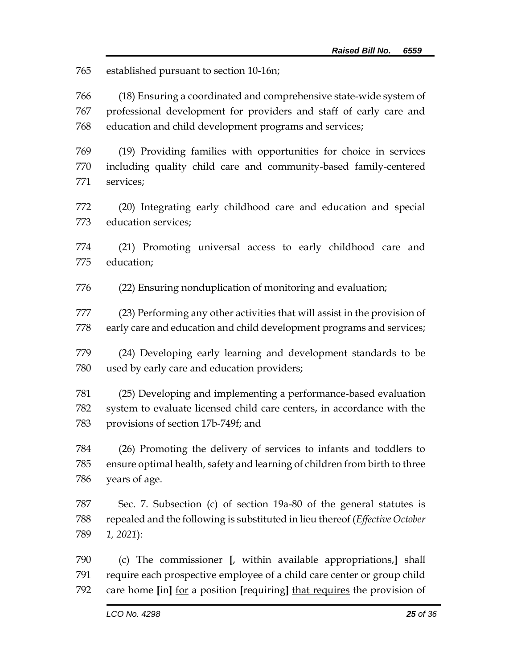established pursuant to section 10-16n;

 (18) Ensuring a coordinated and comprehensive state-wide system of professional development for providers and staff of early care and education and child development programs and services;

 (19) Providing families with opportunities for choice in services including quality child care and community-based family-centered services;

 (20) Integrating early childhood care and education and special education services;

 (21) Promoting universal access to early childhood care and education;

(22) Ensuring nonduplication of monitoring and evaluation;

 (23) Performing any other activities that will assist in the provision of early care and education and child development programs and services;

 (24) Developing early learning and development standards to be used by early care and education providers;

 (25) Developing and implementing a performance-based evaluation system to evaluate licensed child care centers, in accordance with the provisions of section 17b-749f; and

 (26) Promoting the delivery of services to infants and toddlers to ensure optimal health, safety and learning of children from birth to three years of age.

 Sec. 7. Subsection (c) of section 19a-80 of the general statutes is repealed and the following is substituted in lieu thereof (*Effective October 1, 2021*):

 (c) The commissioner **[**, within available appropriations,**]** shall require each prospective employee of a child care center or group child care home **[**in**]** for a position **[**requiring**]** that requires the provision of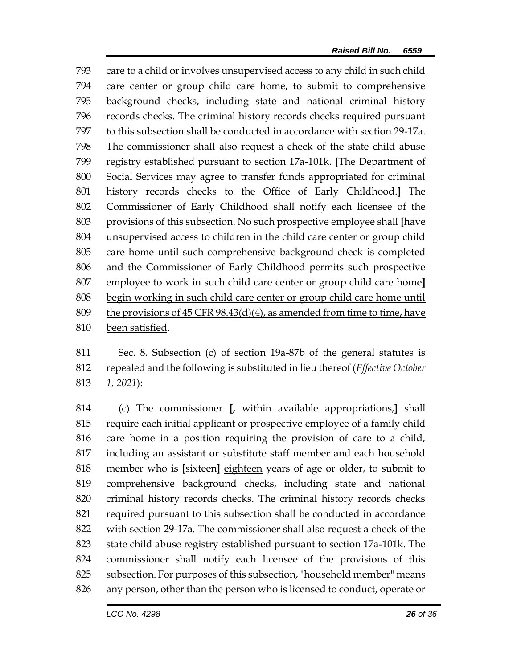care to a child or involves unsupervised access to any child in such child care center or group child care home, to submit to comprehensive background checks, including state and national criminal history records checks. The criminal history records checks required pursuant to this subsection shall be conducted in accordance with section 29-17a. The commissioner shall also request a check of the state child abuse registry established pursuant to section 17a-101k. **[**The Department of Social Services may agree to transfer funds appropriated for criminal history records checks to the Office of Early Childhood.**]** The Commissioner of Early Childhood shall notify each licensee of the provisions of this subsection. No such prospective employee shall **[**have unsupervised access to children in the child care center or group child care home until such comprehensive background check is completed and the Commissioner of Early Childhood permits such prospective employee to work in such child care center or group child care home**]** begin working in such child care center or group child care home until the provisions of 45 CFR 98.43(d)(4), as amended from time to time, have been satisfied.

 Sec. 8. Subsection (c) of section 19a-87b of the general statutes is repealed and the following is substituted in lieu thereof (*Effective October 1, 2021*):

 (c) The commissioner **[**, within available appropriations,**]** shall require each initial applicant or prospective employee of a family child care home in a position requiring the provision of care to a child, including an assistant or substitute staff member and each household member who is **[**sixteen**]** eighteen years of age or older, to submit to comprehensive background checks, including state and national criminal history records checks. The criminal history records checks required pursuant to this subsection shall be conducted in accordance with section 29-17a. The commissioner shall also request a check of the state child abuse registry established pursuant to section 17a-101k. The commissioner shall notify each licensee of the provisions of this subsection. For purposes of this subsection, "household member" means any person, other than the person who is licensed to conduct, operate or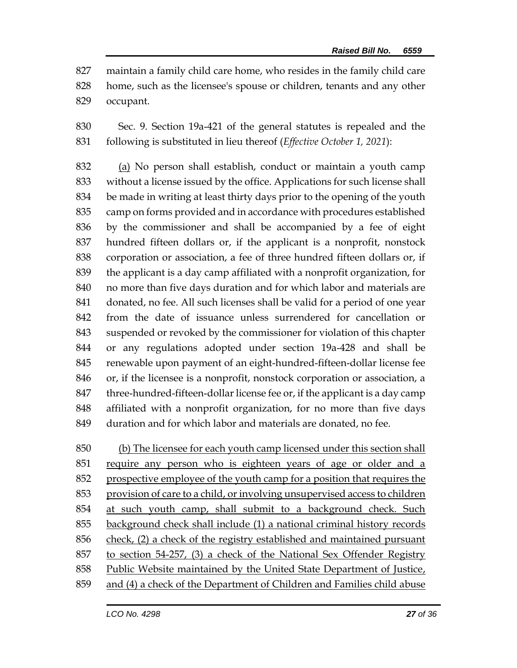maintain a family child care home, who resides in the family child care home, such as the licensee's spouse or children, tenants and any other occupant.

 Sec. 9. Section 19a-421 of the general statutes is repealed and the following is substituted in lieu thereof (*Effective October 1, 2021*):

 (a) No person shall establish, conduct or maintain a youth camp without a license issued by the office. Applications for such license shall be made in writing at least thirty days prior to the opening of the youth camp on forms provided and in accordance with procedures established by the commissioner and shall be accompanied by a fee of eight hundred fifteen dollars or, if the applicant is a nonprofit, nonstock corporation or association, a fee of three hundred fifteen dollars or, if the applicant is a day camp affiliated with a nonprofit organization, for no more than five days duration and for which labor and materials are donated, no fee. All such licenses shall be valid for a period of one year from the date of issuance unless surrendered for cancellation or suspended or revoked by the commissioner for violation of this chapter or any regulations adopted under section 19a-428 and shall be renewable upon payment of an eight-hundred-fifteen-dollar license fee or, if the licensee is a nonprofit, nonstock corporation or association, a three-hundred-fifteen-dollar license fee or, if the applicant is a day camp affiliated with a nonprofit organization, for no more than five days duration and for which labor and materials are donated, no fee.

 (b) The licensee for each youth camp licensed under this section shall require any person who is eighteen years of age or older and a prospective employee of the youth camp for a position that requires the provision of care to a child, or involving unsupervised access to children at such youth camp, shall submit to a background check. Such background check shall include (1) a national criminal history records check, (2) a check of the registry established and maintained pursuant to section 54-257, (3) a check of the National Sex Offender Registry Public Website maintained by the United State Department of Justice, and (4) a check of the Department of Children and Families child abuse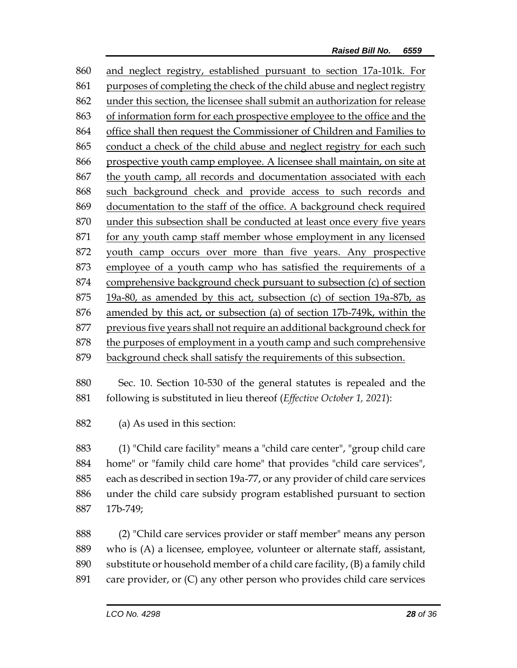and neglect registry, established pursuant to section 17a-101k. For purposes of completing the check of the child abuse and neglect registry under this section, the licensee shall submit an authorization for release of information form for each prospective employee to the office and the office shall then request the Commissioner of Children and Families to 865 conduct a check of the child abuse and neglect registry for each such prospective youth camp employee. A licensee shall maintain, on site at the youth camp, all records and documentation associated with each such background check and provide access to such records and documentation to the staff of the office. A background check required under this subsection shall be conducted at least once every five years for any youth camp staff member whose employment in any licensed youth camp occurs over more than five years. Any prospective employee of a youth camp who has satisfied the requirements of a comprehensive background check pursuant to subsection (c) of section 19a-80, as amended by this act, subsection (c) of section 19a-87b, as amended by this act, or subsection (a) of section 17b-749k, within the previous five years shall not require an additional background check for the purposes of employment in a youth camp and such comprehensive background check shall satisfy the requirements of this subsection.

 Sec. 10. Section 10-530 of the general statutes is repealed and the following is substituted in lieu thereof (*Effective October 1, 2021*):

(a) As used in this section:

 (1) "Child care facility" means a "child care center", "group child care home" or "family child care home" that provides "child care services", each as described in section 19a-77, or any provider of child care services under the child care subsidy program established pursuant to section 17b-749;

 (2) "Child care services provider or staff member" means any person who is (A) a licensee, employee, volunteer or alternate staff, assistant, substitute or household member of a child care facility, (B) a family child care provider, or (C) any other person who provides child care services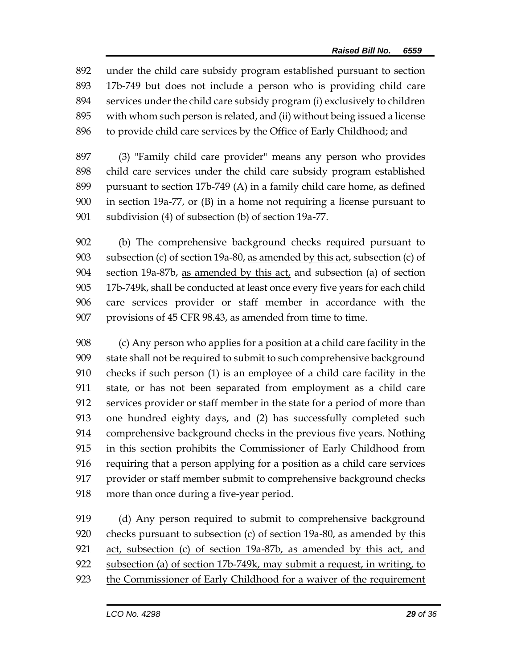under the child care subsidy program established pursuant to section 17b-749 but does not include a person who is providing child care services under the child care subsidy program (i) exclusively to children with whom such person is related, and (ii) without being issued a license to provide child care services by the Office of Early Childhood; and

 (3) "Family child care provider" means any person who provides child care services under the child care subsidy program established pursuant to section 17b-749 (A) in a family child care home, as defined in section 19a-77, or (B) in a home not requiring a license pursuant to subdivision (4) of subsection (b) of section 19a-77.

 (b) The comprehensive background checks required pursuant to subsection (c) of section 19a-80, as amended by this act, subsection (c) of section 19a-87b, as amended by this act, and subsection (a) of section 17b-749k, shall be conducted at least once every five years for each child care services provider or staff member in accordance with the provisions of 45 CFR 98.43, as amended from time to time.

 (c) Any person who applies for a position at a child care facility in the state shall not be required to submit to such comprehensive background checks if such person (1) is an employee of a child care facility in the state, or has not been separated from employment as a child care services provider or staff member in the state for a period of more than one hundred eighty days, and (2) has successfully completed such comprehensive background checks in the previous five years. Nothing in this section prohibits the Commissioner of Early Childhood from requiring that a person applying for a position as a child care services provider or staff member submit to comprehensive background checks 918 more than once during a five-year period.

 (d) Any person required to submit to comprehensive background checks pursuant to subsection (c) of section 19a-80, as amended by this act, subsection (c) of section 19a-87b, as amended by this act, and subsection (a) of section 17b-749k, may submit a request, in writing, to 923 the Commissioner of Early Childhood for a waiver of the requirement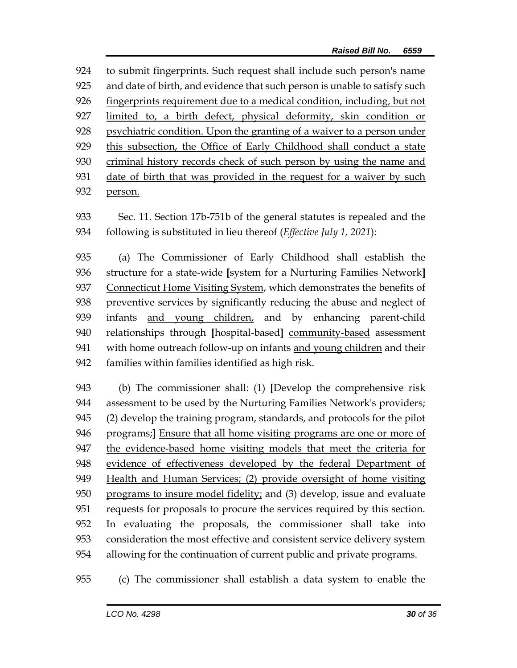to submit fingerprints. Such request shall include such person's name and date of birth, and evidence that such person is unable to satisfy such fingerprints requirement due to a medical condition, including, but not limited to, a birth defect, physical deformity, skin condition or psychiatric condition. Upon the granting of a waiver to a person under this subsection, the Office of Early Childhood shall conduct a state criminal history records check of such person by using the name and date of birth that was provided in the request for a waiver by such person.

 Sec. 11. Section 17b-751b of the general statutes is repealed and the following is substituted in lieu thereof (*Effective July 1, 2021*):

 (a) The Commissioner of Early Childhood shall establish the structure for a state-wide **[**system for a Nurturing Families Network**]** Connecticut Home Visiting System, which demonstrates the benefits of preventive services by significantly reducing the abuse and neglect of infants and young children, and by enhancing parent-child relationships through **[**hospital-based**]** community-based assessment with home outreach follow-up on infants and young children and their families within families identified as high risk.

 (b) The commissioner shall: (1) **[**Develop the comprehensive risk assessment to be used by the Nurturing Families Network's providers; (2) develop the training program, standards, and protocols for the pilot programs;**]** Ensure that all home visiting programs are one or more of the evidence-based home visiting models that meet the criteria for evidence of effectiveness developed by the federal Department of Health and Human Services; (2) provide oversight of home visiting programs to insure model fidelity; and (3) develop, issue and evaluate requests for proposals to procure the services required by this section. In evaluating the proposals, the commissioner shall take into consideration the most effective and consistent service delivery system allowing for the continuation of current public and private programs.

(c) The commissioner shall establish a data system to enable the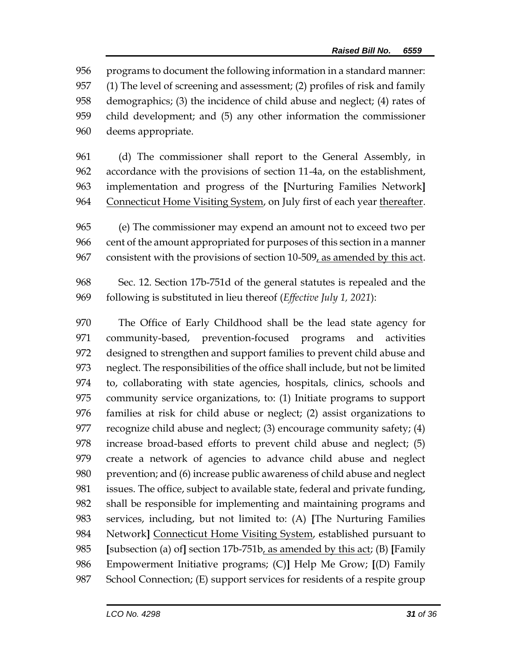programs to document the following information in a standard manner: (1) The level of screening and assessment; (2) profiles of risk and family demographics; (3) the incidence of child abuse and neglect; (4) rates of child development; and (5) any other information the commissioner deems appropriate.

- (d) The commissioner shall report to the General Assembly, in accordance with the provisions of section 11-4a, on the establishment, implementation and progress of the **[**Nurturing Families Network**]** Connecticut Home Visiting System, on July first of each year thereafter.
- (e) The commissioner may expend an amount not to exceed two per cent of the amount appropriated for purposes of this section in a manner consistent with the provisions of section 10-509, as amended by this act.
- Sec. 12. Section 17b-751d of the general statutes is repealed and the following is substituted in lieu thereof (*Effective July 1, 2021*):
- The Office of Early Childhood shall be the lead state agency for community-based, prevention-focused programs and activities designed to strengthen and support families to prevent child abuse and neglect. The responsibilities of the office shall include, but not be limited to, collaborating with state agencies, hospitals, clinics, schools and community service organizations, to: (1) Initiate programs to support families at risk for child abuse or neglect; (2) assist organizations to recognize child abuse and neglect; (3) encourage community safety; (4) increase broad-based efforts to prevent child abuse and neglect; (5) create a network of agencies to advance child abuse and neglect prevention; and (6) increase public awareness of child abuse and neglect issues. The office, subject to available state, federal and private funding, shall be responsible for implementing and maintaining programs and services, including, but not limited to: (A) **[**The Nurturing Families Network**]** Connecticut Home Visiting System, established pursuant to **[**subsection (a) of**]** section 17b-751b, as amended by this act; (B) **[**Family Empowerment Initiative programs; (C)**]** Help Me Grow; **[**(D) Family School Connection; (E) support services for residents of a respite group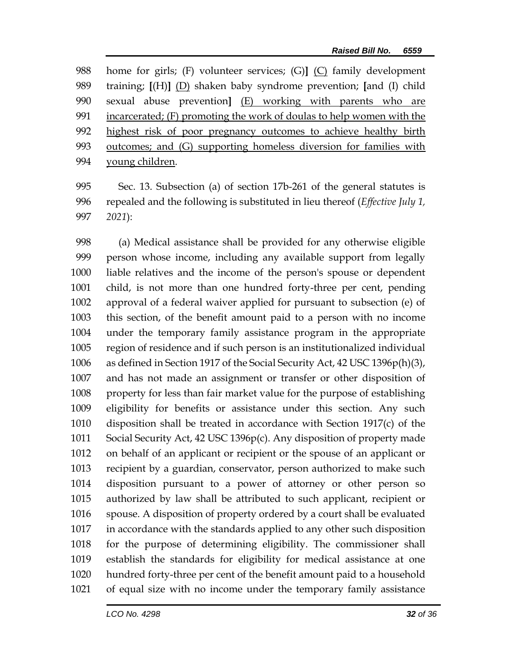home for girls; (F) volunteer services; (G)**]** (C) family development training; **[**(H)**]** (D) shaken baby syndrome prevention; **[**and (I) child sexual abuse prevention**]** (E) working with parents who are incarcerated; (F) promoting the work of doulas to help women with the highest risk of poor pregnancy outcomes to achieve healthy birth 993 outcomes; and (G) supporting homeless diversion for families with young children.

 Sec. 13. Subsection (a) of section 17b-261 of the general statutes is repealed and the following is substituted in lieu thereof (*Effective July 1, 2021*):

 (a) Medical assistance shall be provided for any otherwise eligible person whose income, including any available support from legally liable relatives and the income of the person's spouse or dependent child, is not more than one hundred forty-three per cent, pending approval of a federal waiver applied for pursuant to subsection (e) of this section, of the benefit amount paid to a person with no income under the temporary family assistance program in the appropriate region of residence and if such person is an institutionalized individual as defined in Section 1917 of the Social Security Act, 42 USC 1396p(h)(3), and has not made an assignment or transfer or other disposition of property for less than fair market value for the purpose of establishing eligibility for benefits or assistance under this section. Any such disposition shall be treated in accordance with Section 1917(c) of the Social Security Act, 42 USC 1396p(c). Any disposition of property made on behalf of an applicant or recipient or the spouse of an applicant or recipient by a guardian, conservator, person authorized to make such disposition pursuant to a power of attorney or other person so authorized by law shall be attributed to such applicant, recipient or spouse. A disposition of property ordered by a court shall be evaluated in accordance with the standards applied to any other such disposition for the purpose of determining eligibility. The commissioner shall establish the standards for eligibility for medical assistance at one hundred forty-three per cent of the benefit amount paid to a household of equal size with no income under the temporary family assistance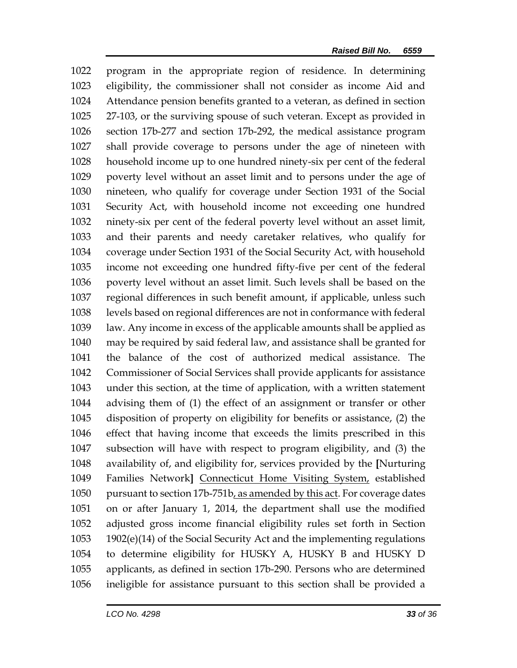program in the appropriate region of residence. In determining eligibility, the commissioner shall not consider as income Aid and Attendance pension benefits granted to a veteran, as defined in section 27-103, or the surviving spouse of such veteran. Except as provided in section 17b-277 and section 17b-292, the medical assistance program shall provide coverage to persons under the age of nineteen with household income up to one hundred ninety-six per cent of the federal poverty level without an asset limit and to persons under the age of nineteen, who qualify for coverage under Section 1931 of the Social Security Act, with household income not exceeding one hundred ninety-six per cent of the federal poverty level without an asset limit, and their parents and needy caretaker relatives, who qualify for coverage under Section 1931 of the Social Security Act, with household income not exceeding one hundred fifty-five per cent of the federal poverty level without an asset limit. Such levels shall be based on the regional differences in such benefit amount, if applicable, unless such levels based on regional differences are not in conformance with federal law. Any income in excess of the applicable amounts shall be applied as may be required by said federal law, and assistance shall be granted for the balance of the cost of authorized medical assistance. The Commissioner of Social Services shall provide applicants for assistance under this section, at the time of application, with a written statement advising them of (1) the effect of an assignment or transfer or other disposition of property on eligibility for benefits or assistance, (2) the effect that having income that exceeds the limits prescribed in this subsection will have with respect to program eligibility, and (3) the availability of, and eligibility for, services provided by the **[**Nurturing Families Network**]** Connecticut Home Visiting System, established 1050 pursuant to section 17b-751b, as amended by this act. For coverage dates on or after January 1, 2014, the department shall use the modified adjusted gross income financial eligibility rules set forth in Section 1902(e)(14) of the Social Security Act and the implementing regulations to determine eligibility for HUSKY A, HUSKY B and HUSKY D applicants, as defined in section 17b-290. Persons who are determined ineligible for assistance pursuant to this section shall be provided a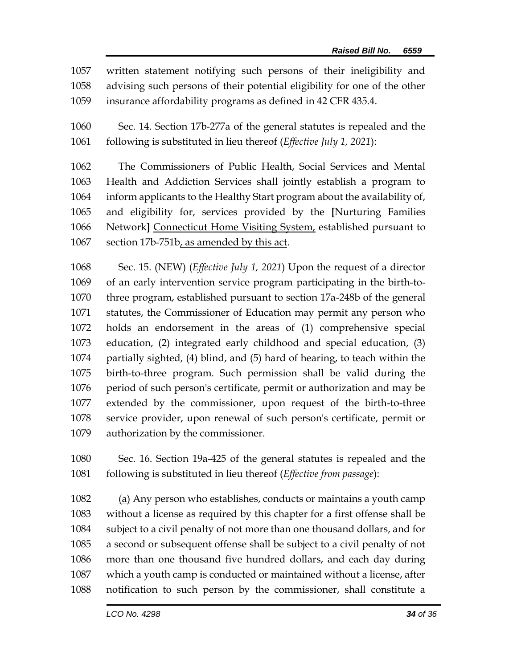written statement notifying such persons of their ineligibility and advising such persons of their potential eligibility for one of the other insurance affordability programs as defined in 42 CFR 435.4.

 Sec. 14. Section 17b-277a of the general statutes is repealed and the following is substituted in lieu thereof (*Effective July 1, 2021*):

 The Commissioners of Public Health, Social Services and Mental Health and Addiction Services shall jointly establish a program to inform applicants to the Healthy Start program about the availability of, and eligibility for, services provided by the **[**Nurturing Families Network**]** Connecticut Home Visiting System, established pursuant to section 17b-751b, as amended by this act.

 Sec. 15. (NEW) (*Effective July 1, 2021*) Upon the request of a director of an early intervention service program participating in the birth-to- three program, established pursuant to section 17a-248b of the general statutes, the Commissioner of Education may permit any person who holds an endorsement in the areas of (1) comprehensive special education, (2) integrated early childhood and special education, (3) partially sighted, (4) blind, and (5) hard of hearing, to teach within the birth-to-three program. Such permission shall be valid during the period of such person's certificate, permit or authorization and may be extended by the commissioner, upon request of the birth-to-three service provider, upon renewal of such person's certificate, permit or authorization by the commissioner.

 Sec. 16. Section 19a-425 of the general statutes is repealed and the following is substituted in lieu thereof (*Effective from passage*):

 (a) Any person who establishes, conducts or maintains a youth camp without a license as required by this chapter for a first offense shall be subject to a civil penalty of not more than one thousand dollars, and for a second or subsequent offense shall be subject to a civil penalty of not more than one thousand five hundred dollars, and each day during which a youth camp is conducted or maintained without a license, after notification to such person by the commissioner, shall constitute a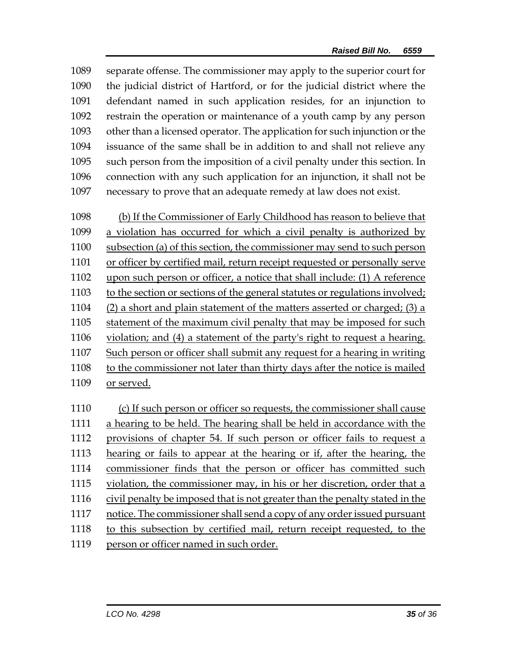separate offense. The commissioner may apply to the superior court for the judicial district of Hartford, or for the judicial district where the defendant named in such application resides, for an injunction to restrain the operation or maintenance of a youth camp by any person other than a licensed operator. The application for such injunction or the issuance of the same shall be in addition to and shall not relieve any such person from the imposition of a civil penalty under this section. In connection with any such application for an injunction, it shall not be necessary to prove that an adequate remedy at law does not exist.

 (b) If the Commissioner of Early Childhood has reason to believe that a violation has occurred for which a civil penalty is authorized by subsection (a) of this section, the commissioner may send to such person or officer by certified mail, return receipt requested or personally serve upon such person or officer, a notice that shall include: (1) A reference to the section or sections of the general statutes or regulations involved; (2) a short and plain statement of the matters asserted or charged; (3) a statement of the maximum civil penalty that may be imposed for such violation; and (4) a statement of the party's right to request a hearing. Such person or officer shall submit any request for a hearing in writing to the commissioner not later than thirty days after the notice is mailed or served.

 (c) If such person or officer so requests, the commissioner shall cause a hearing to be held. The hearing shall be held in accordance with the provisions of chapter 54. If such person or officer fails to request a hearing or fails to appear at the hearing or if, after the hearing, the commissioner finds that the person or officer has committed such violation, the commissioner may, in his or her discretion, order that a civil penalty be imposed that is not greater than the penalty stated in the notice. The commissioner shall send a copy of any order issued pursuant to this subsection by certified mail, return receipt requested, to the 1119 person or officer named in such order.